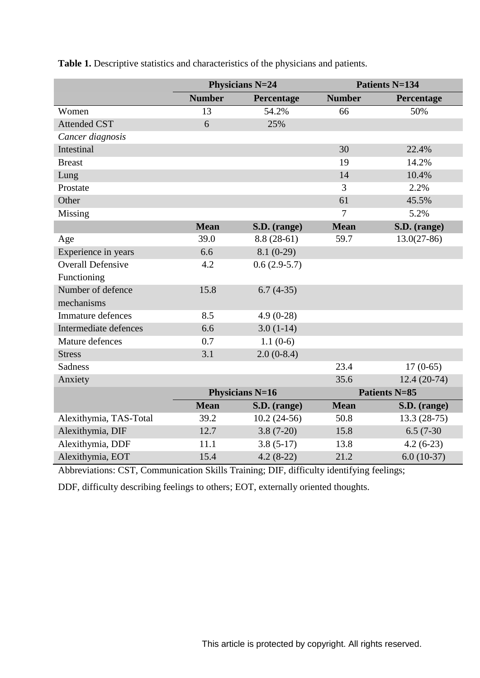|                          | <b>Physicians N=24</b> |                | <b>Patients N=134</b> |                      |  |
|--------------------------|------------------------|----------------|-----------------------|----------------------|--|
|                          | <b>Number</b>          | Percentage     | <b>Number</b>         | Percentage           |  |
| Women                    | 13                     | 54.2%          | 66                    | 50%                  |  |
| <b>Attended CST</b>      | 6                      | 25%            |                       |                      |  |
| Cancer diagnosis         |                        |                |                       |                      |  |
| Intestinal               |                        |                | 30                    | 22.4%                |  |
| <b>Breast</b>            |                        |                | 19                    | 14.2%                |  |
| Lung                     |                        |                | 14                    | 10.4%                |  |
| Prostate                 |                        |                | 3                     | 2.2%                 |  |
| Other                    |                        |                | 61                    | 45.5%                |  |
| Missing                  |                        |                | $\overline{7}$        | 5.2%                 |  |
|                          | <b>Mean</b>            | S.D. (range)   | <b>Mean</b>           | S.D. (range)         |  |
| Age                      | 39.0                   | $8.8(28-61)$   | 59.7                  | $13.0(27-86)$        |  |
| Experience in years      | 6.6                    | $8.1(0-29)$    |                       |                      |  |
| <b>Overall Defensive</b> | 4.2                    | $0.6(2.9-5.7)$ |                       |                      |  |
| Functioning              |                        |                |                       |                      |  |
| Number of defence        | 15.8                   | $6.7(4-35)$    |                       |                      |  |
| mechanisms               |                        |                |                       |                      |  |
| <b>Immature defences</b> | 8.5                    | $4.9(0-28)$    |                       |                      |  |
| Intermediate defences    | 6.6                    | $3.0(1-14)$    |                       |                      |  |
| Mature defences          | 0.7                    | $1.1(0-6)$     |                       |                      |  |
| <b>Stress</b>            | 3.1                    | $2.0(0-8.4)$   |                       |                      |  |
| <b>Sadness</b>           |                        |                | 23.4                  | $17(0-65)$           |  |
| Anxiety                  |                        |                | 35.6                  | $12.4(20-74)$        |  |
|                          | <b>Physicians N=16</b> |                |                       | <b>Patients N=85</b> |  |
|                          | <b>Mean</b>            | S.D. (range)   | <b>Mean</b>           | S.D. (range)         |  |
| Alexithymia, TAS-Total   | 39.2                   | $10.2(24-56)$  | 50.8                  | $13.3(28-75)$        |  |
| Alexithymia, DIF         | 12.7                   | $3.8(7-20)$    | 15.8                  | $6.5(7-30)$          |  |
| Alexithymia, DDF         | 11.1                   | $3.8(5-17)$    | 13.8                  | $4.2(6-23)$          |  |
| Alexithymia, EOT         | 15.4                   | $4.2(8-22)$    | 21.2                  | $6.0(10-37)$         |  |

**Table 1.** Descriptive statistics and characteristics of the physicians and patients.

Abbreviations: CST, Communication Skills Training; DIF, difficulty identifying feelings;

DDF, difficulty describing feelings to others; EOT, externally oriented thoughts.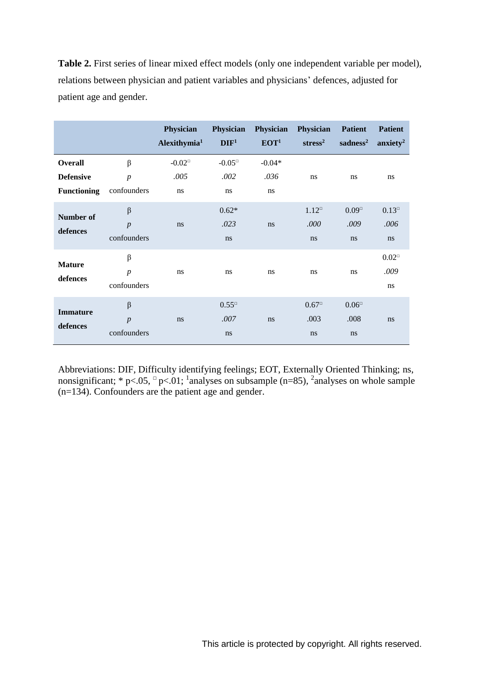**Table 2.** First series of linear mixed effect models (only one independent variable per model), relations between physician and patient variables and physicians' defences, adjusted for patient age and gender.

|                                                          |                                            | <b>Physician</b><br>Alexithymia <sup>1</sup>       | Physician<br>DIF <sup>1</sup> | Physician Physician<br>EOT <sup>1</sup> | stress <sup>2</sup>          | <b>Patient</b><br>sadness <sup>2</sup> | <b>Patient</b><br>anxiety <sup>2</sup> |
|----------------------------------------------------------|--------------------------------------------|----------------------------------------------------|-------------------------------|-----------------------------------------|------------------------------|----------------------------------------|----------------------------------------|
| <b>Overall</b><br><b>Defensive</b><br><b>Functioning</b> | $\beta$<br>$\boldsymbol{p}$<br>confounders | $-0.02$ <sup><math>\Box</math></sup><br>.005<br>ns | $-0.05^{\circ}$<br>.002<br>ns | $-0.04*$<br>.036<br>ns                  | ns                           | <sub>ns</sub>                          | ns                                     |
| Number of<br>defences                                    | $\beta$<br>$\boldsymbol{p}$<br>confounders | ns                                                 | $0.62*$<br>.023<br>ns         | ns                                      | $1.12^{\circ}$<br>.000<br>ns | $0.09^\circ$<br>.009<br>ns             | $0.13^{\circ}$<br>.006<br>ns           |
| <b>Mature</b><br>defences                                | $\beta$<br>$\boldsymbol{p}$<br>confounders | ns                                                 | ns                            | ns                                      | ns                           | ns.                                    | $0.02^\circ$<br>.009<br>ns             |
| <b>Immature</b><br>defences                              | $\beta$<br>$\boldsymbol{p}$<br>confounders | ns                                                 | $0.55^{\circ}$<br>.007<br>ns  | ns                                      | $0.67^{\circ}$<br>.003<br>ns | $0.06^\circ$<br>.008<br>ns             | ns                                     |

Abbreviations: DIF, Difficulty identifying feelings; EOT, Externally Oriented Thinking; ns, nonsignificant; \* p<.05,  $\degree$  p<.01; <sup>1</sup> analyses on subsample (n=85), <sup>2</sup> analyses on whole sample (n=134). Confounders are the patient age and gender.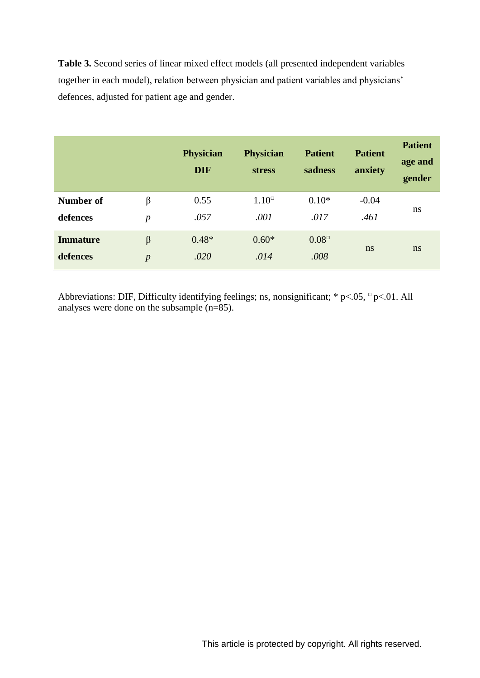**Table 3.** Second series of linear mixed effect models (all presented independent variables together in each model), relation between physician and patient variables and physicians' defences, adjusted for patient age and gender.

|                 |                  | <b>Physician</b><br><b>DIF</b> | <b>Physician</b><br><b>stress</b> | <b>Patient</b><br>sadness | <b>Patient</b><br>anxiety | <b>Patient</b><br>age and<br>gender |  |
|-----------------|------------------|--------------------------------|-----------------------------------|---------------------------|---------------------------|-------------------------------------|--|
| Number of       | β                | 0.55                           | $1.10^\circ$                      | $0.10*$                   | $-0.04$                   |                                     |  |
| defences        | $\boldsymbol{p}$ | .057                           | .001                              | .017                      | .461                      | ns                                  |  |
| <b>Immature</b> | $\beta$          | $0.48*$                        | $0.60*$                           | $0.08^\circ$              |                           |                                     |  |
| defences        | $\overline{p}$   | .020                           | .014                              | .008                      | ns                        | ns                                  |  |

Abbreviations: DIF, Difficulty identifying feelings; ns, nonsignificant;  $* p < .05$ ,  $p < .01$ . All analyses were done on the subsample (n=85).